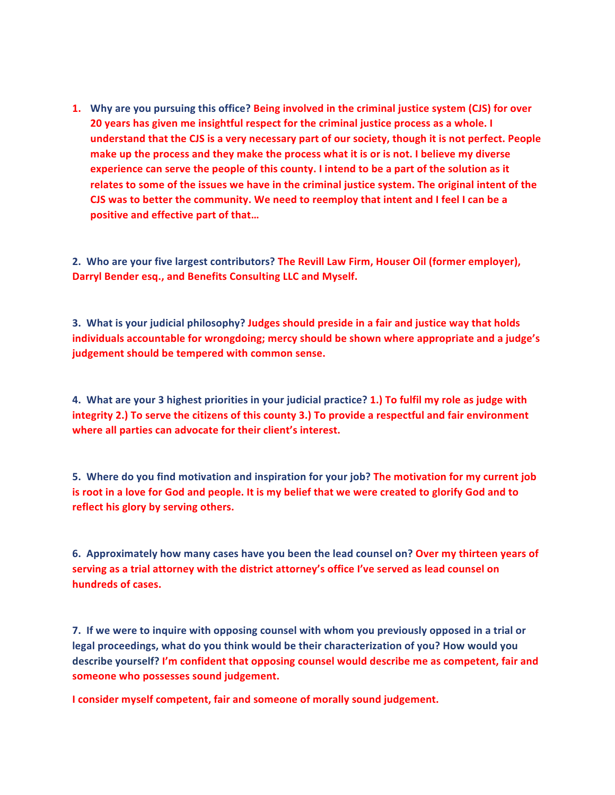**1.** Why are you pursuing this office? Being involved in the criminal justice system (CJS) for over **20** years has given me insightful respect for the criminal justice process as a whole. I **understand that the CJS** is a very necessary part of our society, though it is not perfect. People make up the process and they make the process what it is or is not. I believe my diverse experience can serve the people of this county. I intend to be a part of the solution as it relates to some of the issues we have in the criminal justice system. The original intent of the **CJS** was to better the community. We need to reemploy that intent and I feel I can be a positive and effective part of that...

2. Who are your five largest contributors? The Revill Law Firm, Houser Oil (former employer), Darryl Bender esq., and Benefits Consulting LLC and Myself.

**3.** What is your judicial philosophy? Judges should preside in a fair and justice way that holds **individuals accountable for wrongdoing; mercy should be shown where appropriate and a judge's** judgement should be tempered with common sense.

**4.** What are your 3 highest priorities in your judicial practice? 1.) To fulfil my role as judge with **integrity 2.**) To serve the citizens of this county **3.**) To provide a respectful and fair environment where all parties can advocate for their client's interest.

**5.** Where do you find motivation and inspiration for your job? The motivation for my current job is root in a love for God and people. It is my belief that we were created to glorify God and to reflect his glory by serving others.

6. Approximately how many cases have you been the lead counsel on? Over my thirteen years of serving as a trial attorney with the district attorney's office I've served as lead counsel on **hundreds of cases.**

**7.** If we were to inquire with opposing counsel with whom you previously opposed in a trial or legal proceedings, what do you think would be their characterization of you? How would you describe yourself? I'm confident that opposing counsel would describe me as competent, fair and someone who possesses sound judgement.

**I** consider myself competent, fair and someone of morally sound judgement.